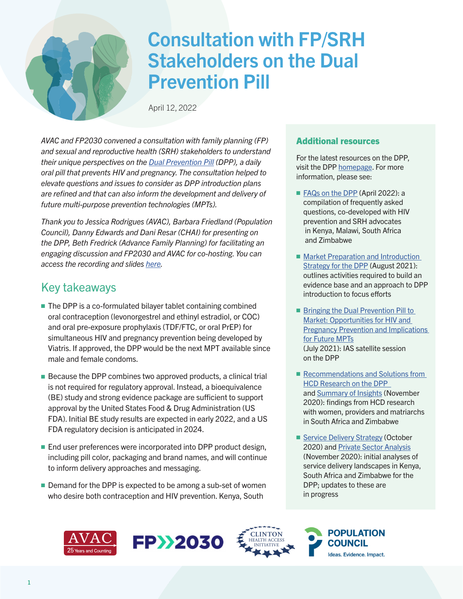

# Consultation with FP/SRH Stakeholders on the Dual Prevention Pill

April 12, 2022

*AVAC and FP2030 convened a consultation with family planning (FP) and sexual and reproductive health (SRH) stakeholders to understand their unique perspectives on the [Dual Prevention Pill](https://www.prepwatch.org/nextgen-prep/dual-prevention-pill/) (DPP), a daily oral pill that prevents HIV and pregnancy. The consultation helped to elevate questions and issues to consider as DPP introduction plans are refined and that can also inform the development and delivery of future multi-purpose prevention technologies (MPTs).* 

*Thank you to Jessica Rodrigues (AVAC), Barbara Friedland (Population Council), Danny Edwards and Dani Resar (CHAI) for presenting on the DPP, Beth Fredrick (Advance Family Planning) for facilitating an engaging discussion and FP2030 and AVAC for co-hosting. You can access the recording and slides [here.](https://www.avac.org/event/consultation-fpsrh-stakeholders-dual-prevention-pill-dpp)* 

# Key takeaways

- $\blacksquare$  The DPP is a co-formulated bilayer tablet containing combined oral contraception (levonorgestrel and ethinyl estradiol, or COC) and oral pre-exposure prophylaxis (TDF/FTC, or oral PrEP) for simultaneous HIV and pregnancy prevention being developed by Viatris. If approved, the DPP would be the next MPT available since male and female condoms.
- $\blacksquare$  Because the DPP combines two approved products, a clinical trial is not required for regulatory approval. Instead, a bioequivalence (BE) study and strong evidence package are sufficient to support approval by the United States Food & Drug Administration (US FDA). Initial BE study results are expected in early 2022, and a US FDA regulatory decision is anticipated in 2024.
- $\blacksquare$  End user preferences were incorporated into DPP product design, including pill color, packaging and brand names, and will continue to inform delivery approaches and messaging.
- $\blacksquare$  Demand for the DPP is expected to be among a sub-set of women who desire both contraception and HIV prevention. Kenya, South

## Additional resources

For the latest resources on the DPP, visit the DPP [homepage](https://www.prepwatch.org/nextgen-prep/dual-prevention-pill/). For more information, please see:

- [FAQs on the DPP](https://www.prepwatch.org/wp-content/uploads/2022/04/DPP-FAQs-April-2022.pdf) (April 2022): a compilation of frequently asked questions, co-developed with HIV prevention and SRH advocates in Kenya, Malawi, South Africa and Zimbabwe
- Market Preparation and Introduction [Strategy for the DPP](https://www.prepwatch.org/wp-content/uploads/2021/09/DPP-Market-Prep-and-Intro-Strategy.pdf) (August 2021): outlines activities required to build an evidence base and an approach to DPP introduction to focus efforts
- Bringing the Dual Prevention Pill to [Market: Opportunities for HIV and](https://www.youtube.com/watch?v=VVMAIuhCVpg)  [Pregnancy Prevention and Implications](https://www.youtube.com/watch?v=VVMAIuhCVpg)  [for Future MPTs](https://www.youtube.com/watch?v=VVMAIuhCVpg) (July 2021): IAS satellite session on the DPP
- Recommendations and Solutions from [HCD Research on the DPP](https://www.prepwatch.org/wp-content/uploads/2021/08/2021_07_30-DPP-Eureka-workshop-recommendations_public.pdf)  and [Summary of Insights](https://www.prepwatch.org/wp-content/uploads/2021/08/2021_07_30-End-user-findings-summary_public.pdf) (November 2020): findings from HCD research with women, providers and matriarchs in South Africa and Zimbabwe
- [Service Delivery Strategy](https://www.prepwatch.org/wp-content/uploads/2021/08/2021_07_30-SD-Strategy_public-1.pdf) (October 2020) and [Private Sector Analysis](https://www.prepwatch.org/wp-content/uploads/2021/08/2021_07_30-SD-Strategy_Private-Sector-Analysis_public.pdf) (November 2020): initial analyses of service delivery landscapes in Kenya, South Africa and Zimbabwe for the DPP; updates to these are in progress





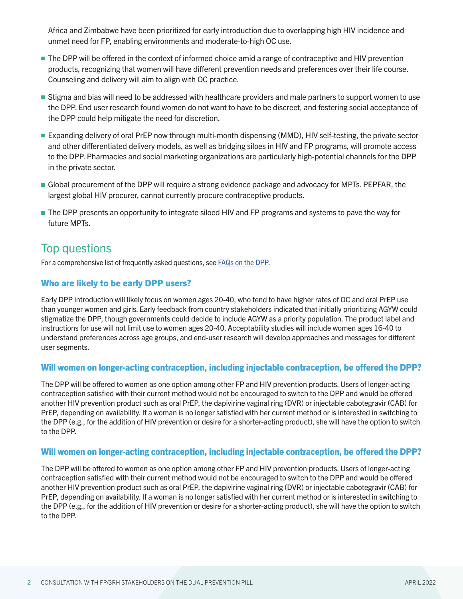Africa and Zimbabwe have been prioritized for early introduction due to overlapping high HIV incidence and unmet need for FP, enabling environments and moderate-to-high OC use.

- **n** The DPP will be offered in the context of informed choice amid a range of contraceptive and HIV prevention products, recognizing that women will have different prevention needs and preferences over their life course. Counseling and delivery will aim to align with OC practice.
- **Stigma and bias will need to be addressed with healthcare providers and male partners to support women to use** the DPP. End user research found women do not want to have to be discreet, and fostering social acceptance of the DPP could help mitigate the need for discretion.
- <sup>n</sup> Expanding delivery of oral PrEP now through multi-month dispensing (MMD), HIV self-testing, the private sector and other differentiated delivery models, as well as bridging siloes in HIV and FP programs, will promote access to the DPP. Pharmacies and social marketing organizations are particularly high-potential channels for the DPP in the private sector.
- <sup>n</sup> Global procurement of the DPP will require a strong evidence package and advocacy for MPTs. PEPFAR, the largest global HIV procurer, cannot currently procure contraceptive products.
- **n** The DPP presents an opportunity to integrate siloed HIV and FP programs and systems to pave the way for future MPTs.

# Top questions

For a comprehensive list of frequently asked questions, see [FAQs on the DPP.](https://www.prepwatch.org/wp-content/uploads/2022/04/DPP-FAQs-April-2022.pdf)

# Who are likely to be early DPP users?

Early DPP introduction will likely focus on women ages 20-40, who tend to have higher rates of OC and oral PrEP use than younger women and girls. Early feedback from country stakeholders indicated that initially prioritizing AGYW could stigmatize the DPP, though governments could decide to include AGYW as a priority population. The product label and instructions for use will not limit use to women ages 20-40. Acceptability studies will include women ages 16-40 to understand preferences across age groups, and end-user research will develop approaches and messages for different user segments.

## Will women on longer-acting contraception, including injectable contraception, be offered the DPP?

The DPP will be offered to women as one option among other FP and HIV prevention products. Users of longer-acting contraception satisfied with their current method would not be encouraged to switch to the DPP and would be offered another HIV prevention product such as oral PrEP, the dapivirine vaginal ring (DVR) or injectable cabotegravir (CAB) for PrEP, depending on availability. If a woman is no longer satisfied with her current method or is interested in switching to the DPP (e.g., for the addition of HIV prevention or desire for a shorter-acting product), she will have the option to switch to the DPP.

## Will women on longer-acting contraception, including injectable contraception, be offered the DPP?

The DPP will be offered to women as one option among other FP and HIV prevention products. Users of longer-acting contraception satisfied with their current method would not be encouraged to switch to the DPP and would be offered another HIV prevention product such as oral PrEP, the dapivirine vaginal ring (DVR) or injectable cabotegravir (CAB) for PrEP, depending on availability. If a woman is no longer satisfied with her current method or is interested in switching to the DPP (e.g., for the addition of HIV prevention or desire for a shorter-acting product), she will have the option to switch to the DPP.